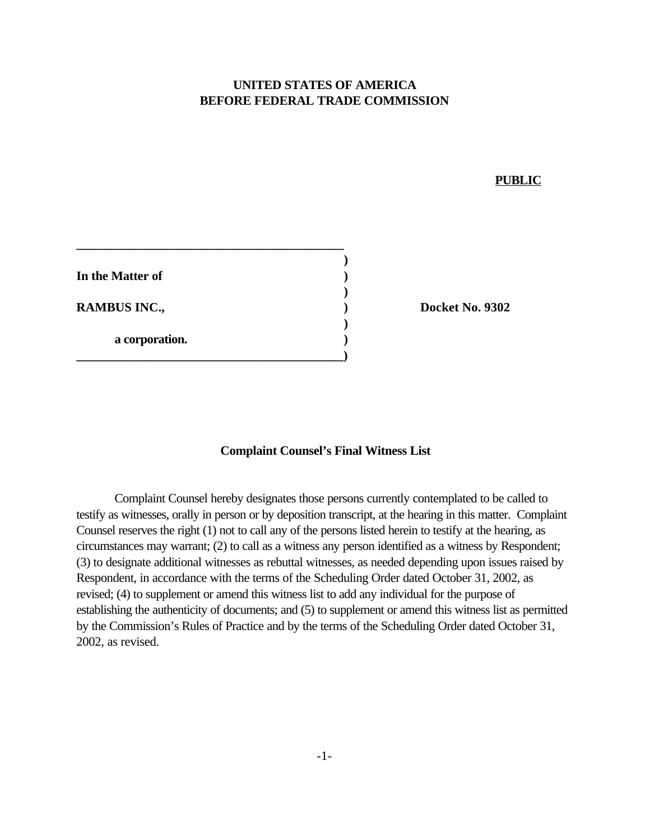## **UNITED STATES OF AMERICA BEFORE FEDERAL TRADE COMMISSION**

## **PUBLIC**

| In the Matter of    |  |
|---------------------|--|
| <b>RAMBUS INC.,</b> |  |
| a corporation.      |  |
|                     |  |

**Docket No. 9302** 

## **Complaint Counsel's Final Witness List**

Complaint Counsel hereby designates those persons currently contemplated to be called to testify as witnesses, orally in person or by deposition transcript, at the hearing in this matter. Complaint Counsel reserves the right (1) not to call any of the persons listed herein to testify at the hearing, as circumstances may warrant; (2) to call as a witness any person identified as a witness by Respondent; (3) to designate additional witnesses as rebuttal witnesses, as needed depending upon issues raised by Respondent, in accordance with the terms of the Scheduling Order dated October 31, 2002, as revised; (4) to supplement or amend this witness list to add any individual for the purpose of establishing the authenticity of documents; and (5) to supplement or amend this witness list as permitted by the Commission's Rules of Practice and by the terms of the Scheduling Order dated October 31, 2002, as revised.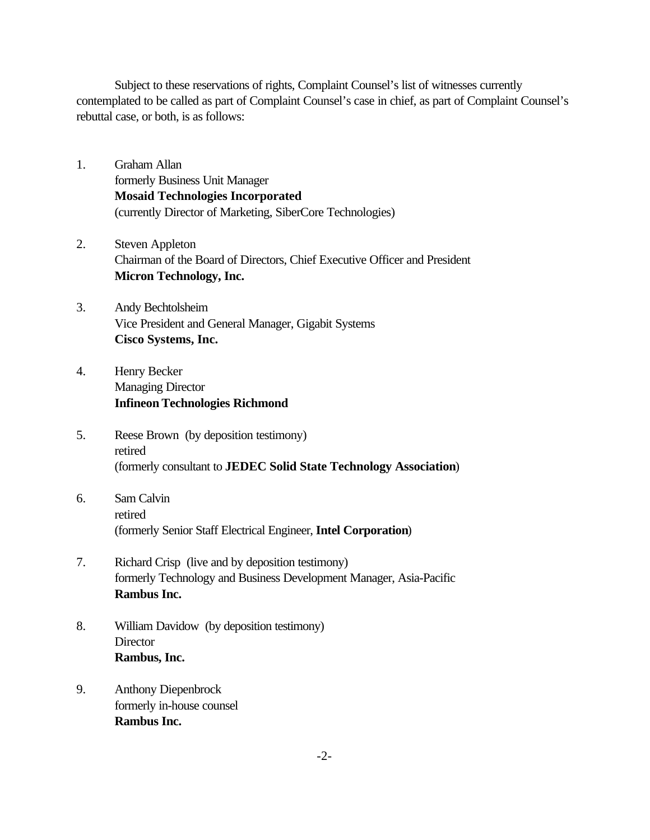Subject to these reservations of rights, Complaint Counsel's list of witnesses currently contemplated to be called as part of Complaint Counsel's case in chief, as part of Complaint Counsel's rebuttal case, or both, is as follows:

- 1. Graham Allan formerly Business Unit Manager **Mosaid Technologies Incorporated** (currently Director of Marketing, SiberCore Technologies)
- 2. Steven Appleton Chairman of the Board of Directors, Chief Executive Officer and President **Micron Technology, Inc.**
- 3. Andy Bechtolsheim Vice President and General Manager, Gigabit Systems **Cisco Systems, Inc.**
- 4. Henry Becker Managing Director **Infineon Technologies Richmond**
- 5. Reese Brown (by deposition testimony) retired (formerly consultant to **JEDEC Solid State Technology Association**)
- 6. Sam Calvin retired (formerly Senior Staff Electrical Engineer, **Intel Corporation**)
- 7. Richard Crisp (live and by deposition testimony) formerly Technology and Business Development Manager, Asia-Pacific **Rambus Inc.**
- 8. William Davidow (by deposition testimony) **Director Rambus, Inc.**
- 9. Anthony Diepenbrock formerly in-house counsel **Rambus Inc.**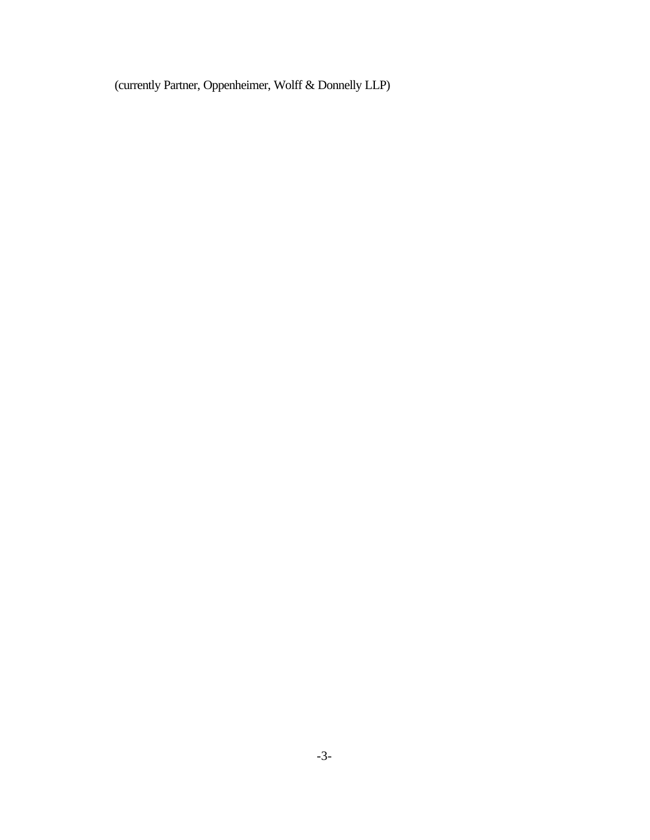(currently Partner, Oppenheimer, Wolff & Donnelly LLP)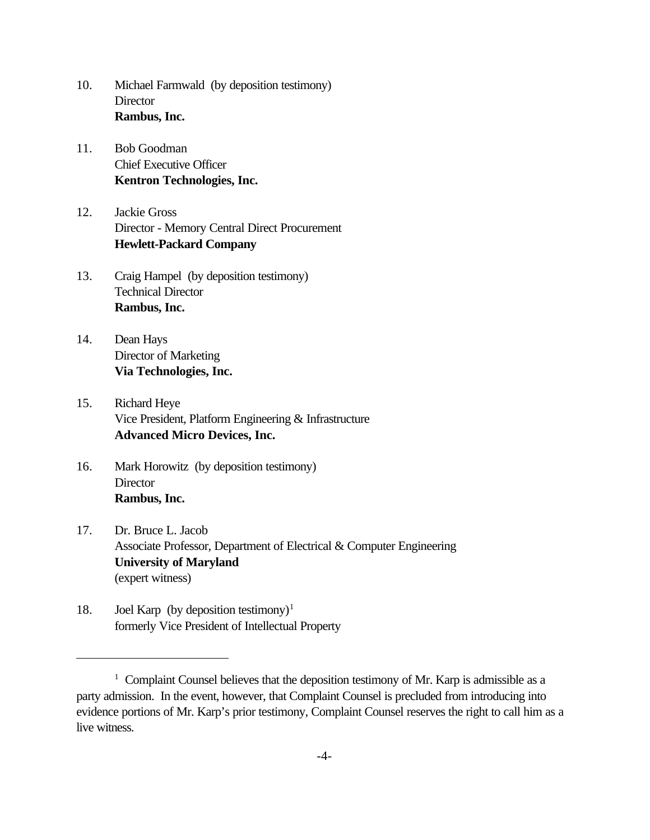- 10. Michael Farmwald (by deposition testimony) **Director Rambus, Inc.**
- 11. Bob Goodman Chief Executive Officer **Kentron Technologies, Inc.**
- 12. Jackie Gross Director - Memory Central Direct Procurement **Hewlett-Packard Company**
- 13. Craig Hampel (by deposition testimony) Technical Director **Rambus, Inc.**
- 14. Dean Hays Director of Marketing **Via Technologies, Inc.**
- 15. Richard Heye Vice President, Platform Engineering & Infrastructure **Advanced Micro Devices, Inc.**
- 16. Mark Horowitz (by deposition testimony) **Director Rambus, Inc.**
- 17. Dr. Bruce L. Jacob Associate Professor, Department of Electrical & Computer Engineering **University of Maryland** (expert witness)
- 18. Joel Karp (by deposition testimony)<sup>1</sup> formerly Vice President of Intellectual Property

<sup>&</sup>lt;sup>1</sup> Complaint Counsel believes that the deposition testimony of Mr. Karp is admissible as a party admission. In the event, however, that Complaint Counsel is precluded from introducing into evidence portions of Mr. Karp's prior testimony, Complaint Counsel reserves the right to call him as a live witness.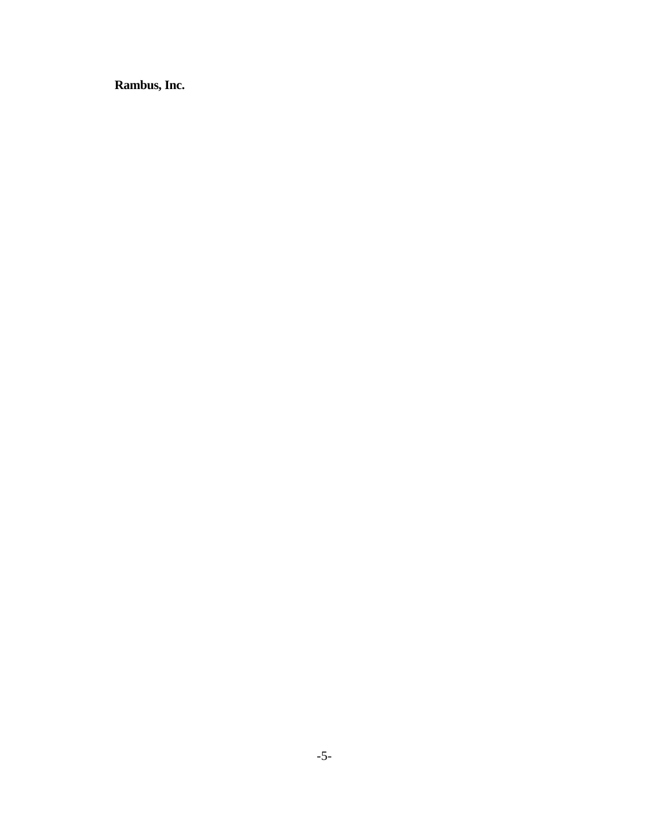**Rambus, Inc.**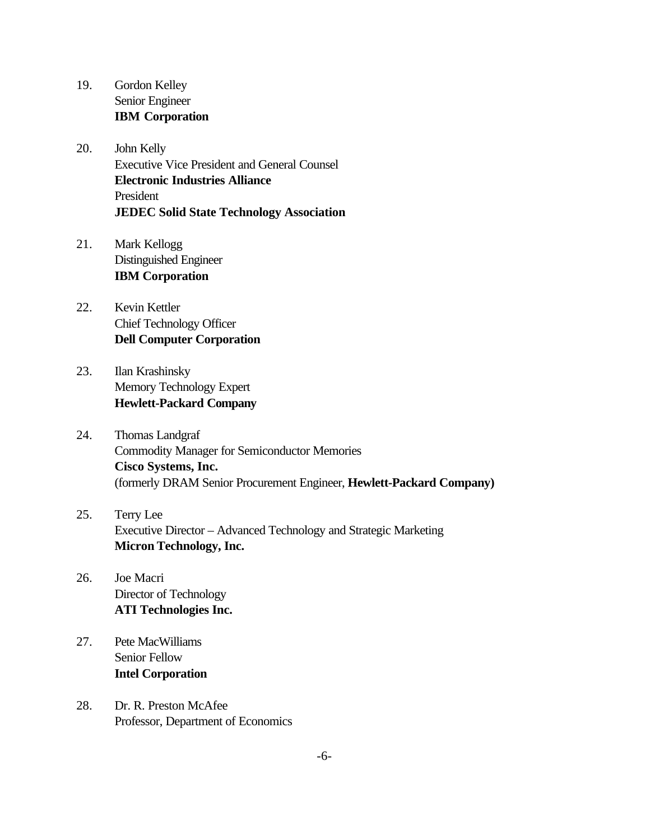- 19. Gordon Kelley Senior Engineer **IBM Corporation**
- 20. John Kelly Executive Vice President and General Counsel **Electronic Industries Alliance**  President **JEDEC Solid State Technology Association**
- 21. Mark Kellogg Distinguished Engineer **IBM Corporation**
- 22. Kevin Kettler Chief Technology Officer **Dell Computer Corporation**
- 23. Ilan Krashinsky Memory Technology Expert **Hewlett-Packard Company**
- 24. Thomas Landgraf Commodity Manager for Semiconductor Memories **Cisco Systems, Inc.** (formerly DRAM Senior Procurement Engineer, **Hewlett-Packard Company)**
- 25. Terry Lee Executive Director – Advanced Technology and Strategic Marketing **Micron Technology, Inc.**
- 26. Joe Macri Director of Technology **ATI Technologies Inc.**
- 27. Pete MacWilliams Senior Fellow **Intel Corporation**
- 28. Dr. R. Preston McAfee Professor, Department of Economics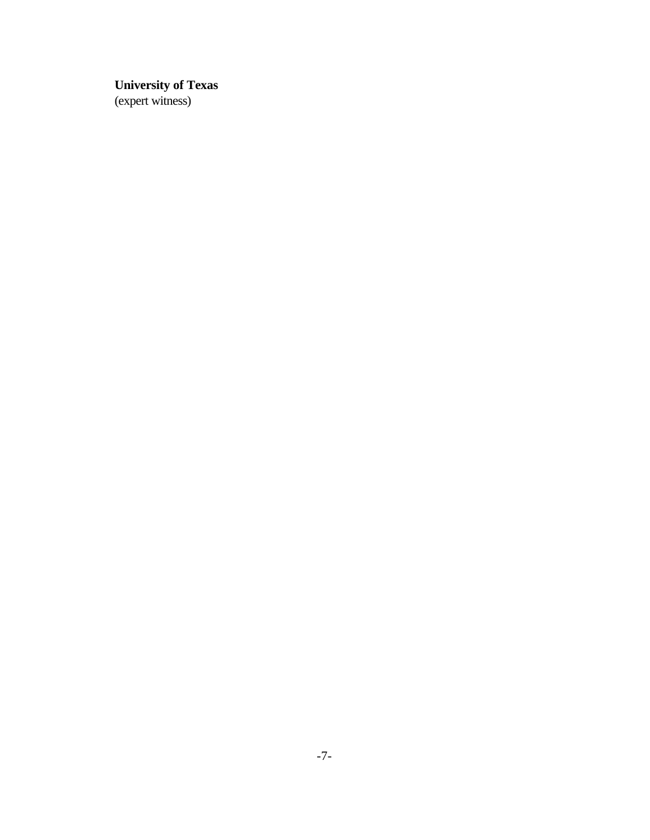## **University of Texas**

(expert witness)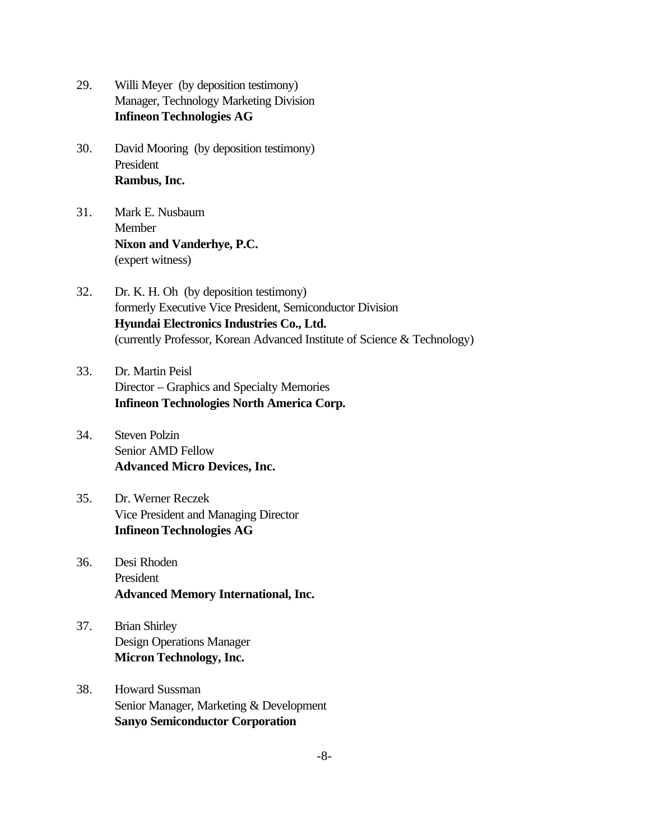- 29. Willi Meyer (by deposition testimony) Manager, Technology Marketing Division **Infineon Technologies AG**
- 30. David Mooring (by deposition testimony) President **Rambus, Inc.**
- 31. Mark E. Nusbaum Member **Nixon and Vanderhye, P.C.** (expert witness)
- 32. Dr. K. H. Oh (by deposition testimony) formerly Executive Vice President, Semiconductor Division **Hyundai Electronics Industries Co., Ltd.** (currently Professor, Korean Advanced Institute of Science & Technology)
- 33. Dr. Martin Peisl Director – Graphics and Specialty Memories **Infineon Technologies North America Corp.**
- 34. Steven Polzin Senior AMD Fellow **Advanced Micro Devices, Inc.**
- 35. Dr. Werner Reczek Vice President and Managing Director **Infineon Technologies AG**
- 36. Desi Rhoden President **Advanced Memory International, Inc.**
- 37. Brian Shirley Design Operations Manager **Micron Technology, Inc.**
- 38. Howard Sussman Senior Manager, Marketing & Development **Sanyo Semiconductor Corporation**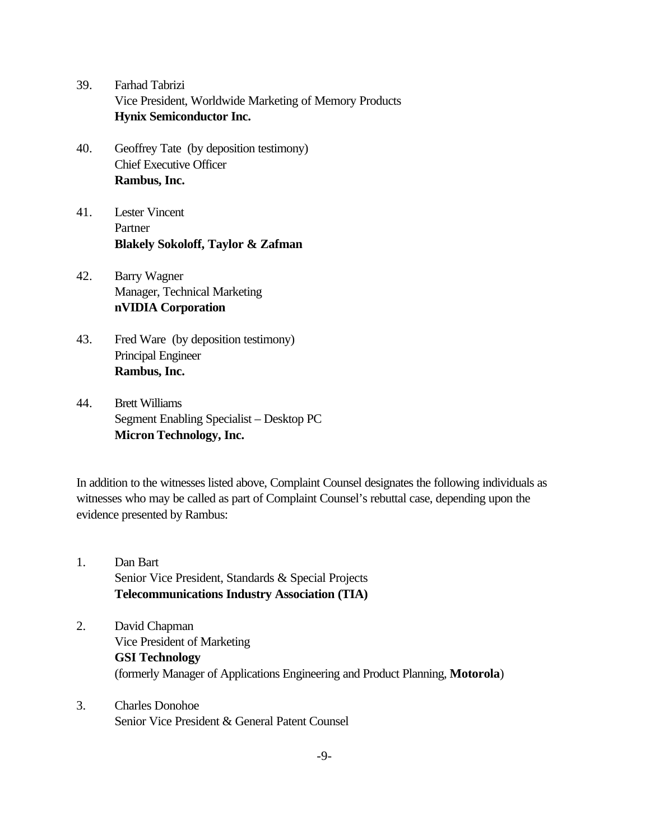- 39. Farhad Tabrizi Vice President, Worldwide Marketing of Memory Products **Hynix Semiconductor Inc.**
- 40. Geoffrey Tate (by deposition testimony) Chief Executive Officer **Rambus, Inc.**
- 41. Lester Vincent Partner **Blakely Sokoloff, Taylor & Zafman**
- 42. Barry Wagner Manager, Technical Marketing **nVIDIA Corporation**
- 43. Fred Ware (by deposition testimony) Principal Engineer **Rambus, Inc.**
- 44. Brett Williams Segment Enabling Specialist – Desktop PC **Micron Technology, Inc.**

In addition to the witnesses listed above, Complaint Counsel designates the following individuals as witnesses who may be called as part of Complaint Counsel's rebuttal case, depending upon the evidence presented by Rambus:

- 1. Dan Bart Senior Vice President, Standards & Special Projects **Telecommunications Industry Association (TIA)**
- 2. David Chapman Vice President of Marketing **GSI Technology** (formerly Manager of Applications Engineering and Product Planning, **Motorola**)
- 3. Charles Donohoe Senior Vice President & General Patent Counsel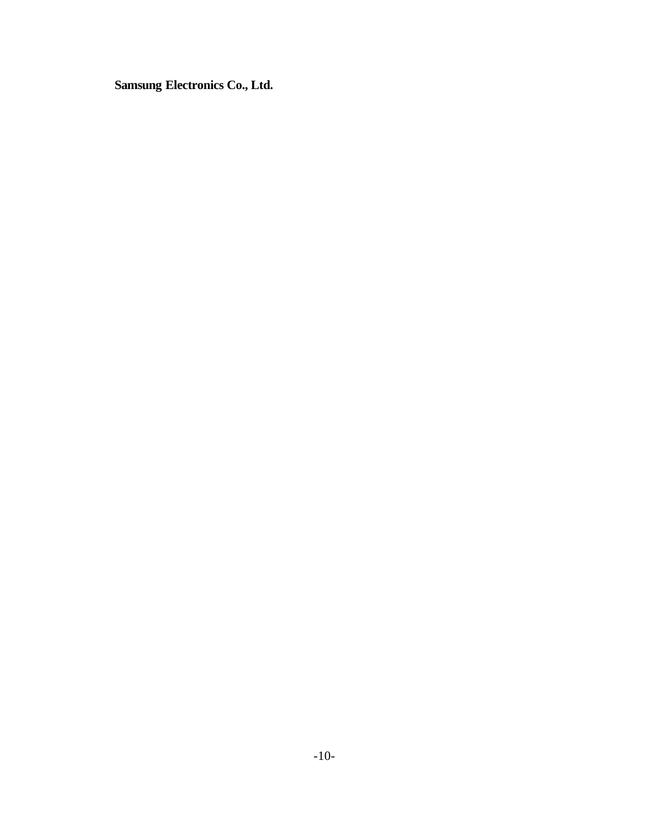**Samsung Electronics Co., Ltd.**